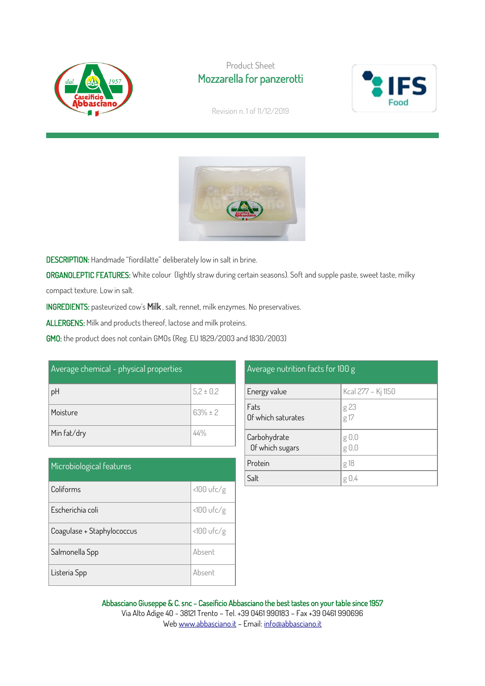

## Product Sheet Mozzarella for panzerotti



Revision n. 1 of 11/12/2019



DESCRIPTION: Handmade "fiordilatte" deliberately low in salt in brine.

ORGANOLEPTIC FEATURES: White colour (lightly straw during certain seasons). Soft and supple paste, sweet taste, milky compact texture. Low in salt.

INGREDIENTS: pasteurized cow's Milk , salt, rennet, milk enzymes. No preservatives.

ALLERGENS: Milk and products thereof, lactose and milk proteins.

GMO: the product does not contain GMOs (Reg. EU 1829/2003 and 1830/2003)

| Average chemical - physical properties |               |
|----------------------------------------|---------------|
| pH                                     | $5,2 \pm 0,2$ |
| Moisture                               | $63% \pm 2$   |
| Min fat/dry                            |               |

| Microbiological features   |              |
|----------------------------|--------------|
| Coliforms                  | <100 ufc/g   |
| Escherichia coli           | $<100$ ufc/g |
| Coagulase + Staphylococcus | $<100$ ufc/g |
| Salmonella Spp             | Absent       |
| Listeria Spp               | Absent       |

| Average nutrition facts for 100 g |                             |  |
|-----------------------------------|-----------------------------|--|
| Energy value                      | Kcal 277 - Kj 1150          |  |
| Fats<br>Of which saturates        | g 23<br>g 17                |  |
| Carbohydrate<br>Of which sugars   | g 0,0<br>$g \theta, \theta$ |  |
| Protein                           | g 18                        |  |
| Salt                              | g 0,4                       |  |

#### Abbasciano Giuseppe & C. snc - Caseificio Abbasciano the best tastes on your table since 1957 Via Alto Adige 40 - 38121 Trento – Tel. +39 0461 990183 – Fax +39 0461 990696 We[b www.abbasciano.it](http://www.abbasciano.it/) – Email[: info@abbasciano.it](mailto:info@abbasciano.it)